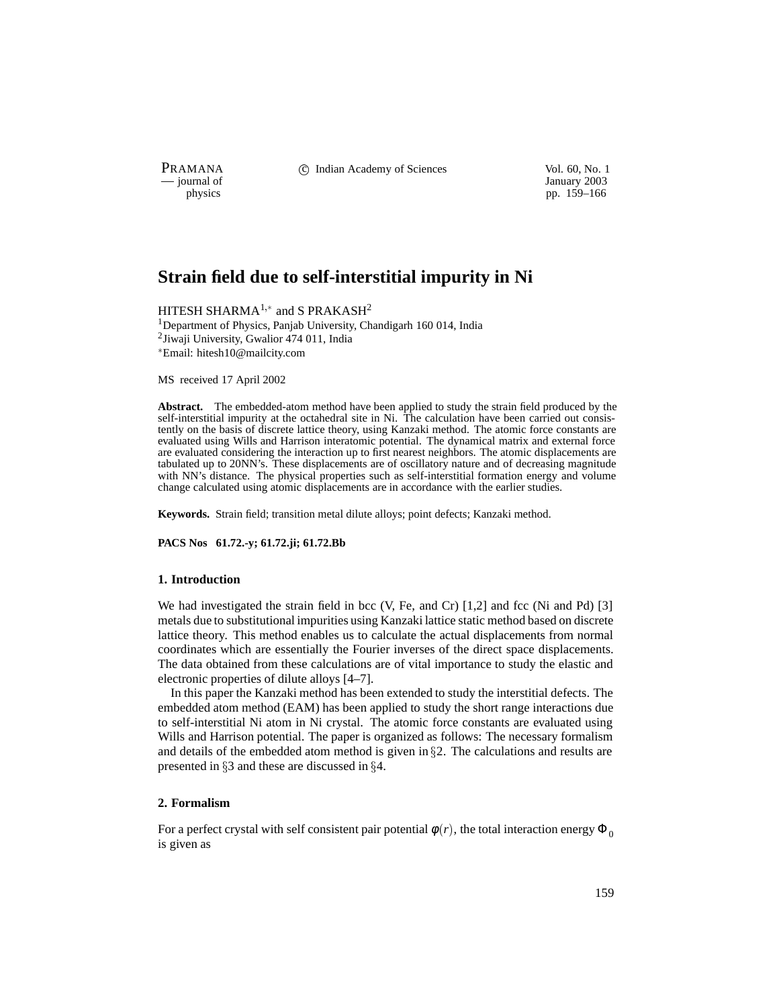PRAMANA 
<sup>c</sup> Indian Academy of Sciences 
<sup>Vol. 60, No. 1
<sup>1</sup> January 2003</sup>

January 2003 physics pp. 159–166

# **Strain field due to self-interstitial impurity in Ni**

HITESH SHARMA $^{1,*}$  and S PRAKASH $^{2}$ 

<sup>1</sup>Department of Physics, Panjab University, Chandigarh 160 014, India <sup>2</sup>Jiwaji University, Gwalior 474 011, India Email: hitesh10@mailcity.com

MS received 17 April 2002

**Abstract.** The embedded-atom method have been applied to study the strain field produced by the self-interstitial impurity at the octahedral site in Ni. The calculation have been carried out consistently on the basis of discrete lattice theory, using Kanzaki method. The atomic force constants are evaluated using Wills and Harrison interatomic potential. The dynamical matrix and external force are evaluated considering the interaction up to first nearest neighbors. The atomic displacements are tabulated up to 20NN's. These displacements are of oscillatory nature and of decreasing magnitude with NN's distance. The physical properties such as self-interstitial formation energy and volume change calculated using atomic displacements are in accordance with the earlier studies.

**Keywords.** Strain field; transition metal dilute alloys; point defects; Kanzaki method.

**PACS Nos 61.72.-y; 61.72.ji; 61.72.Bb**

#### **1. Introduction**

We had investigated the strain field in bcc  $(V, Fe, and Cr)$  [1,2] and fcc  $(Ni$  and Pd) [3] metals due to substitutional impurities using Kanzaki lattice static method based on discrete lattice theory. This method enables us to calculate the actual displacements from normal coordinates which are essentially the Fourier inverses of the direct space displacements. The data obtained from these calculations are of vital importance to study the elastic and electronic properties of dilute alloys [4–7].

In this paper the Kanzaki method has been extended to study the interstitial defects. The embedded atom method (EAM) has been applied to study the short range interactions due to self-interstitial Ni atom in Ni crystal. The atomic force constants are evaluated using Wills and Harrison potential. The paper is organized as follows: The necessary formalism and details of the embedded atom method is given in  $\S2$ . The calculations and results are presented in  $\S 3$  and these are discussed in  $\S 4$ .

## **2. Formalism**

For a perfect crystal with self consistent pair potential  $\phi(r)$ , the total interaction energy  $\Phi_0$ is given as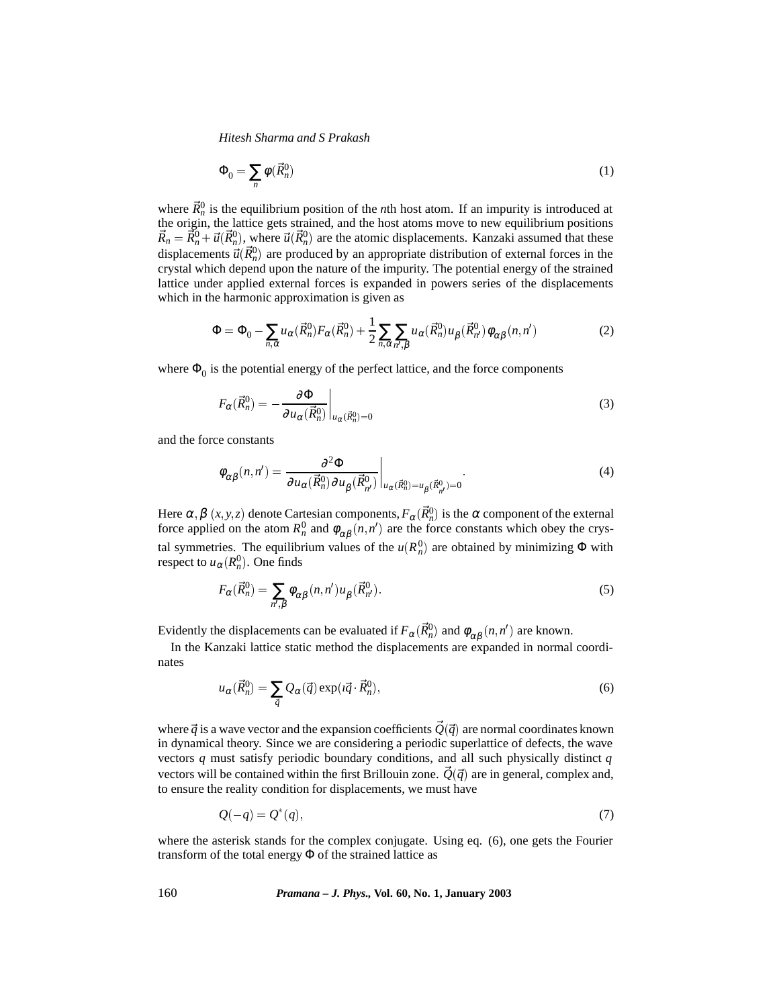*Hitesh Sharma and S Prakash*

$$
\Phi_0 = \sum_n \phi(\vec{R}_n^0) \tag{1}
$$

where  $\vec{R}_n^0$  is the equilibrium position of the *n*th host atom. If an impurity is introduced at the origin, the lattice gets strained, and the host atoms move to new equilibrium positions  $\vec{R}_n = \vec{R}_n^0 + \vec{u}(\vec{R}_n^0)$ , where  $\vec{u}(\vec{R}_n^0)$  are the atomic displacements. Kanzaki assumed that these displacements  $\vec{u}(\vec{R}_n^0)$  are produced by an appropriate distribution of external forces in the crystal which depend upon the nature of the impurity. The potential energy of the strained lattice under applied external forces is expanded in powers series of the displacements which in the harmonic approximation is given as

$$
\Phi = \Phi_0 - \sum_{n,\alpha} u_{\alpha}(\vec{R}_n^0) F_{\alpha}(\vec{R}_n^0) + \frac{1}{2} \sum_{n,\alpha} \sum_{n',\beta} u_{\alpha}(\vec{R}_n^0) u_{\beta}(\vec{R}_{n'}^0) \phi_{\alpha\beta}(n,n')
$$
(2)

where  $\Phi_0$  is the potential energy of the perfect lattice, and the force components

$$
F_{\alpha}(\vec{R}_n^0) = -\frac{\partial \Phi}{\partial u_{\alpha}(\vec{R}_n^0)}\bigg|_{u_{\alpha}(\vec{R}_n^0) = 0} \tag{3}
$$

and the force constants

$$
\phi_{\alpha\beta}(n,n') = \frac{\partial^2 \Phi}{\partial u_{\alpha}(\vec{R}_{n}^0) \partial u_{\beta}(\vec{R}_{n'}^0)} \bigg|_{u_{\alpha}(\vec{R}_{n}^0) = u_{\beta}(\vec{R}_{n'}^0) = 0}.
$$
\n(4)

Here  $\alpha, \beta \ (x, y, z)$  denote Cartesian components,  $F_\alpha(\vec{R}_n^0)$  is the  $\alpha$  component of the external force applied on the atom  $R_n^0$  and  $\phi_{\alpha\beta}(n, n')$  are the force constants which obey the crystal symmetries. The equilibrium values of the  $u(R_n^0)$  are obtained by minimizing  $\Phi$  with respect to  $u_{\alpha}(R_n^0)$ . One finds

$$
F_{\alpha}(\vec{R}_n^0) = \sum_{n',\beta} \phi_{\alpha\beta}(n,n')u_{\beta}(\vec{R}_{n'}^0).
$$
 (5)

Evidently the displacements can be evaluated if  $F_\alpha(\vec{R}_n^0)$  and  $\phi_{\alpha\beta}(n,n')$  are known.

In the Kanzaki lattice static method the displacements are expanded in normal coordinates

$$
u_{\alpha}(\vec{R}_n^0) = \sum_{\vec{q}} Q_{\alpha}(\vec{q}) \exp(i\vec{q} \cdot \vec{R}_n^0), \qquad (6)
$$

where  $\vec{q}$  is a wave vector and the expansion coefficients  $\vec{Q}(\vec{q})$  are normal coordinates known in dynamical theory. Since we are considering a periodic superlattice of defects, the wave vectors *q* must satisfy periodic boundary conditions, and all such physically distinct *q* vectors will be contained within the first Brillouin zone.  $\tilde{Q}(\vec{q})$  are in general, complex and, to ensure the reality condition for displacements, we must have

$$
Q(-q) = Q^*(q),\tag{7}
$$

where the asterisk stands for the complex conjugate. Using eq. (6), one gets the Fourier transform of the total energy  $\Phi$  of the strained lattice as

160 *Pramana – J. Phys.,* **Vol. 60, No. 1, January 2003**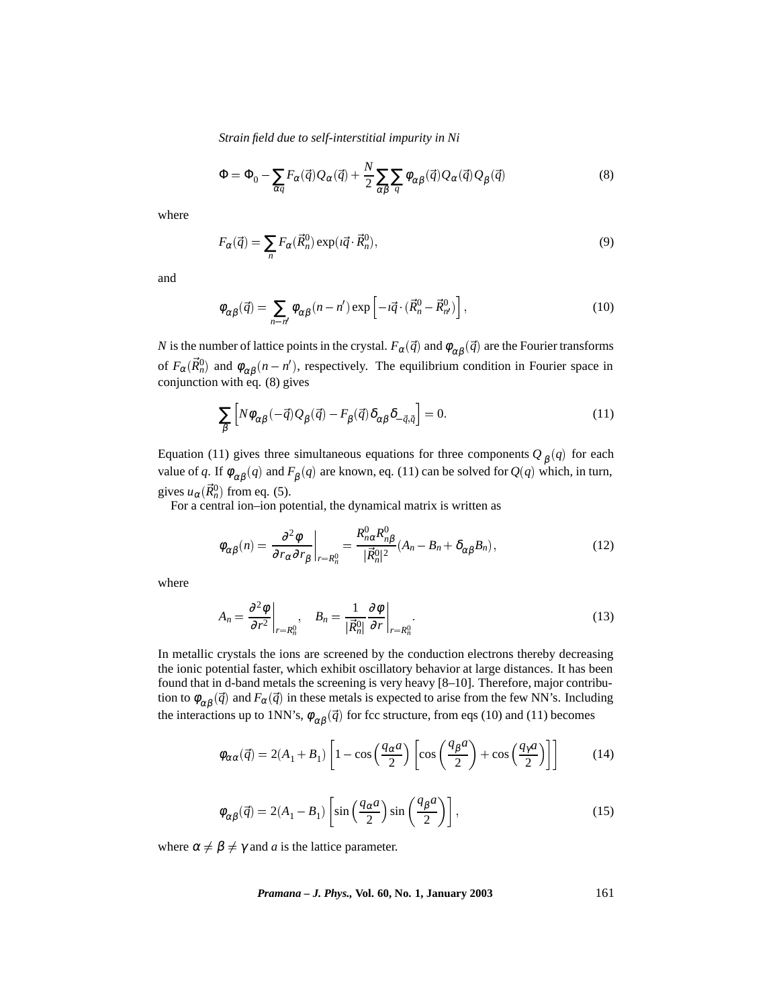*Strain field due to self-interstitial impurity in Ni*

$$
\Phi = \Phi_0 - \sum_{\alpha q} F_{\alpha}(\vec{q}) Q_{\alpha}(\vec{q}) + \frac{N}{2} \sum_{\alpha \beta} \sum_{q} \phi_{\alpha \beta}(\vec{q}) Q_{\alpha}(\vec{q}) Q_{\beta}(\vec{q})
$$
(8)

where

$$
F_{\alpha}(\vec{q}) = \sum_{n} F_{\alpha}(\vec{R}_{n}^{0}) \exp(i\vec{q} \cdot \vec{R}_{n}^{0}), \qquad (9)
$$

and

$$
\phi_{\alpha\beta}(\vec{q}) = \sum_{n-n'} \phi_{\alpha\beta}(n-n') \exp\left[-i\vec{q} \cdot (\vec{R}_n^0 - \vec{R}_{n'}^0)\right],\tag{10}
$$

*N* is the number of lattice points in the crystal.  $F_\alpha(\vec{q})$  and  $\phi_{\alpha\beta}(\vec{q})$  are the Fourier transforms of  $F_\alpha(\vec{R}_n^0)$  and  $\phi_{\alpha\beta}(n-n')$ , respectively. The equilibrium condition in Fourier space in conjunction with eq.  $(8)$  gives

$$
\sum_{\beta} \left[ N \phi_{\alpha\beta} (-\vec{q}) Q_{\beta} (\vec{q}) - F_{\beta} (\vec{q}) \delta_{\alpha\beta} \delta_{-\vec{q},\vec{q}} \right] = 0. \tag{11}
$$

Equation (11) gives three simultaneous equations for three components  $Q_{\beta}(q)$  for each value of *q*. If  $\phi_{\alpha\beta}(q)$  and  $F_{\beta}(q)$  are known, eq. (11) can be solved for  $Q(q)$  which, in turn, gives  $u_{\alpha}(\vec{R}_n^0)$  from eq. (5).

For a central ion–ion potential, the dynamical matrix is written as

$$
\phi_{\alpha\beta}(n) = \frac{\partial^2 \phi}{\partial r_{\alpha} \partial r_{\beta}} \bigg|_{r=R_n^0} = \frac{R_{n\alpha}^0 R_{n\beta}^0}{|\vec{R}_n^0|^2} (A_n - B_n + \delta_{\alpha\beta} B_n), \tag{12}
$$

where

$$
A_n = \frac{\partial^2 \phi}{\partial r^2}\bigg|_{r=R_n^0}, \quad B_n = \frac{1}{|\vec{R}_n^0|} \frac{\partial \phi}{\partial r}\bigg|_{r=R_n^0}.
$$
 (13)

In metallic crystals the ions are screened by the conduction electrons thereby decreasing the ionic potential faster, which exhibit oscillatory behavior at large distances. It has been found that in d-band metals the screening is very heavy [8–10]. Therefore, major contribution to  $\phi_{\alpha\beta}(\vec{q})$  and  $F_{\alpha}(\vec{q})$  in these metals is expected to arise from the few NN's. Including the interactions up to 1NN's,  $\phi_{\alpha\beta}(\vec{q})$  for fcc structure, from eqs (10) and (11) becomes

$$
\phi_{\alpha\alpha}(\vec{q}) = 2(A_1 + B_1) \left[ 1 - \cos\left(\frac{q_\alpha a}{2}\right) \left[ \cos\left(\frac{q_\beta a}{2}\right) + \cos\left(\frac{q_\gamma a}{2}\right) \right] \right]
$$
(14)

$$
\phi_{\alpha\beta}(\vec{q}) = 2(A_1 - B_1) \left[ \sin\left(\frac{q_\alpha a}{2}\right) \sin\left(\frac{q_\beta a}{2}\right) \right],\tag{15}
$$

where  $\alpha \neq \beta \neq \gamma$  and *a* is the lattice parameter.

*Pramana – J. Phys.,* **Vol. 60, No. 1, January 2003** 161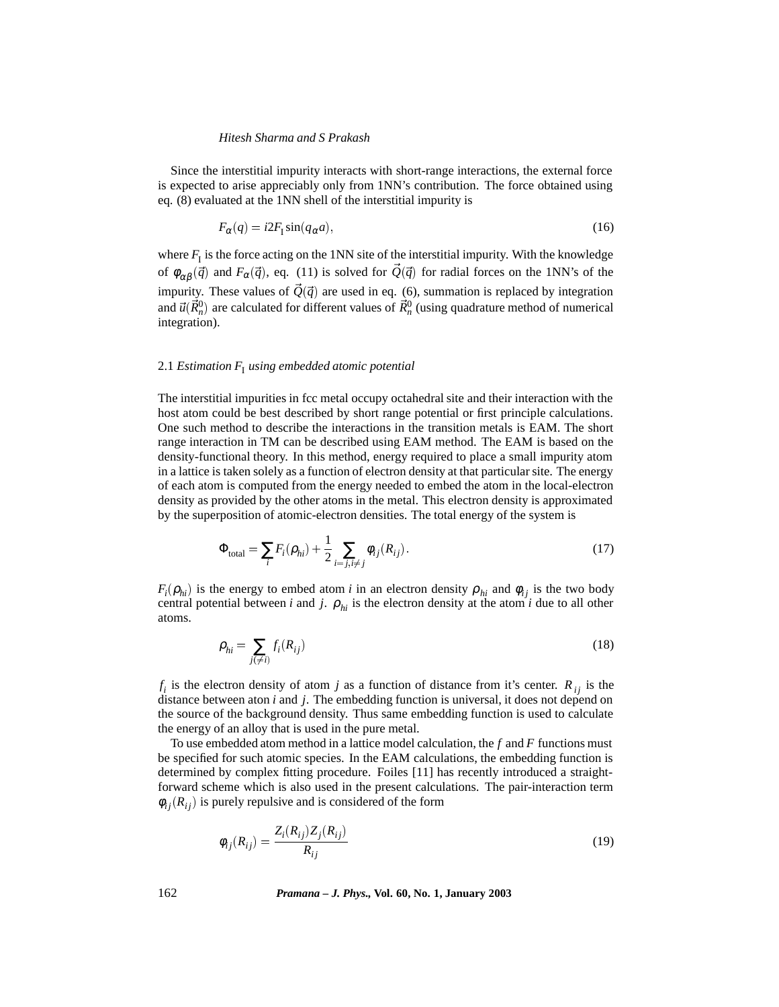#### *Hitesh Sharma and S Prakash*

Since the interstitial impurity interacts with short-range interactions, the external force is expected to arise appreciably only from 1NN's contribution. The force obtained using eq. (8) evaluated at the 1NN shell of the interstitial impurity is

$$
F_{\alpha}(q) = i2F_{\rm I}\sin(q_{\alpha}a),\tag{16}
$$

where  $F_I$  is the force acting on the 1NN site of the interstitial impurity. With the knowledge of  $\phi_{\alpha\beta}(\vec{q})$  and  $F_{\alpha}(\vec{q})$ , eq. (11) is solved for  $\vec{Q}(\vec{q})$  for radial forces on the 1NN's of the impurity. These values of  $\vec{Q}(\vec{q})$  are used in eq. (6), summation is replaced by integration and  $\vec{u}(\vec{R}_n^0)$  are calculated for different values of  $\vec{R}_n^0$  (using quadrature method of numerical integration).

## 2.1 *Estimation*  $F_I$  *using embedded atomic potential*

The interstitial impurities in fcc metal occupy octahedral site and their interaction with the host atom could be best described by short range potential or first principle calculations. One such method to describe the interactions in the transition metals is EAM. The short range interaction in TM can be described using EAM method. The EAM is based on the density-functional theory. In this method, energy required to place a small impurity atom in a lattice is taken solely as a function of electron density at that particular site. The energy of each atom is computed from the energy needed to embed the atom in the local-electron density as provided by the other atoms in the metal. This electron density is approximated by the superposition of atomic-electron densities. The total energy of the system is

$$
\Phi_{\text{total}} = \sum_{i} F_i(\rho_{hi}) + \frac{1}{2} \sum_{i=j, i \neq j} \phi_{ij}(R_{ij}).
$$
\n(17)

*F<sub>i</sub>*( $\rho$ <sub>*hi</sub>*) is the energy to embed atom *i* in an electron density  $\rho$ <sub>*hi*</sub> and  $\phi$ <sub>*ij*</sub> is the two body</sub> central potential between *i* and *j*.  $\rho_{hi}$  is the electron density at the atom *i* due to all other atoms.

$$
\rho_{hi} = \sum_{j(\neq i)} f_i(R_{ij}) \tag{18}
$$

 $f_i$  is the electron density of atom *j* as a function of distance from it's center.  $R_{ij}$  is the distance between aton *i* and *j*. The embedding function is universal, it does not depend on the source of the background density. Thus same embedding function is used to calculate the energy of an alloy that is used in the pure metal.

To use embedded atom method in a lattice model calculation, the *f* and *F* functions must be specified for such atomic species. In the EAM calculations, the embedding function is determined by complex fitting procedure. Foiles [11] has recently introduced a straightforward scheme which is also used in the present calculations. The pair-interaction term  $\phi_{ij}(R_{ij})$  is purely repulsive and is considered of the form

$$
\phi_{ij}(R_{ij}) = \frac{Z_i(R_{ij})Z_j(R_{ij})}{R_{ij}}
$$
\n(19)

162 *Pramana – J. Phys.,* **Vol. 60, No. 1, January 2003**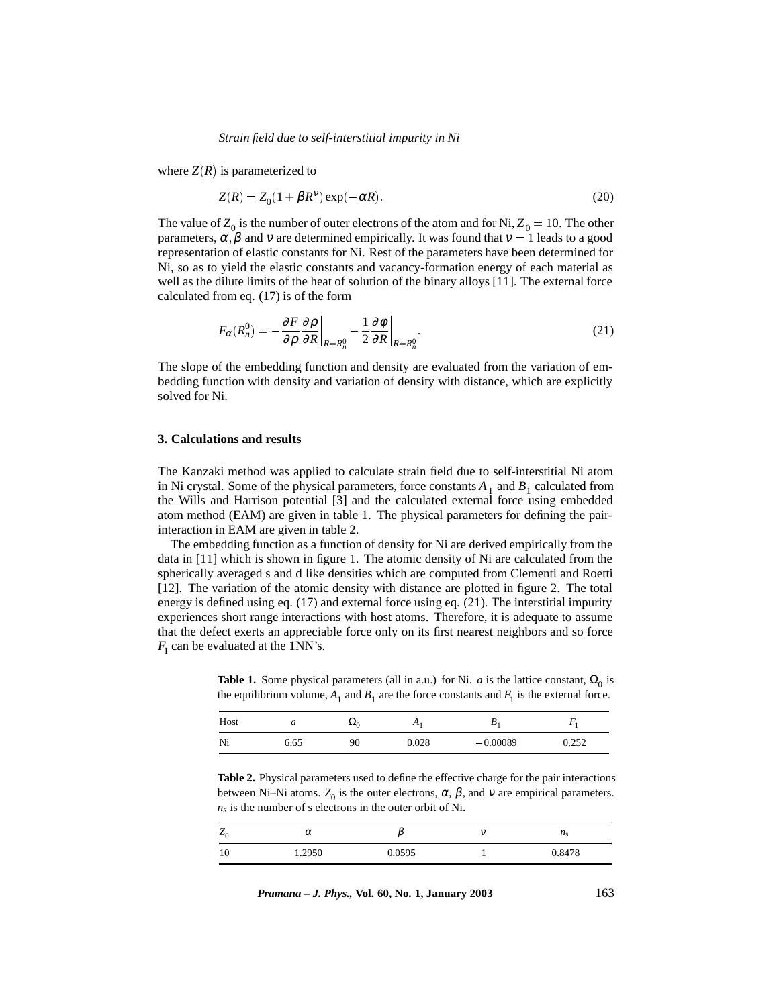#### *Strain field due to self-interstitial impurity in Ni*

where  $Z(R)$  is parameterized to

$$
Z(R) = Z_0(1 + \beta R^{\nu}) \exp(-\alpha R). \tag{20}
$$

The value of  $Z_0$  is the number of outer electrons of the atom and for Ni,  $Z_0 = 10$ . The other parameters,  $\alpha$ ,  $\beta$  and v are determined empirically. It was found that  $v = 1$  leads to a good representation of elastic constants for Ni. Rest of the parameters have been determined for Ni, so as to yield the elastic constants and vacancy-formation energy of each material as well as the dilute limits of the heat of solution of the binary alloys [11]. The external force calculated from eq. (17) is of the form

$$
F_{\alpha}(R_n^0) = -\frac{\partial F}{\partial \rho} \frac{\partial \rho}{\partial R} \bigg|_{R=R_n^0} - \frac{1}{2} \frac{\partial \phi}{\partial R} \bigg|_{R=R_n^0}.
$$
 (21)

The slope of the embedding function and density are evaluated from the variation of embedding function with density and variation of density with distance, which are explicitly solved for Ni.

#### **3. Calculations and results**

The Kanzaki method was applied to calculate strain field due to self-interstitial Ni atom in Ni crystal. Some of the physical parameters, force constants  $A_1$  and  $B_1$  calculated from the Wills and Harrison potential [3] and the calculated external force using embedded atom method (EAM) are given in table 1. The physical parameters for defining the pairinteraction in EAM are given in table 2.

The embedding function as a function of density for Ni are derived empirically from the data in [11] which is shown in figure 1. The atomic density of Ni are calculated from the spherically averaged s and d like densities which are computed from Clementi and Roetti [12]. The variation of the atomic density with distance are plotted in figure 2. The total energy is defined using eq. (17) and external force using eq. (21). The interstitial impurity experiences short range interactions with host atoms. Therefore, it is adequate to assume that the defect exerts an appreciable force only on its first nearest neighbors and so force  $F_I$  can be evaluated at the 1NN's.

**Table 1.** Some physical parameters (all in a.u.) for Ni. *a* is the lattice constant,  $\Omega_0$  is the equilibrium volume,  $A_1$  and  $B_1$  are the force constants and  $F_1$  is the external force.

| Host | u    | $\mathbf{P}^{\mathbf{z}}(0)$ | $\Lambda$ | Ð          |       |
|------|------|------------------------------|-----------|------------|-------|
| Ni   | 6.65 | 90                           | 0.028     | $-0.00089$ | 0.252 |

**Table 2.** Physical parameters used to define the effective charge for the pair interactions between Ni–Ni atoms.  $Z_0$  is the outer electrons,  $\alpha$ ,  $\beta$ , and  $\nu$  are empirical parameters.  $n<sub>s</sub>$  is the number of s electrons in the outer orbit of Ni.

| $Z_0$ | $\alpha$ |        | $n_{\rm c}$<br>- 2 |
|-------|----------|--------|--------------------|
| 1 V   | 1.2950   | 0.0595 | 0.8478             |

*Pramana – J. Phys.,* **Vol. 60, No. 1, January 2003** 163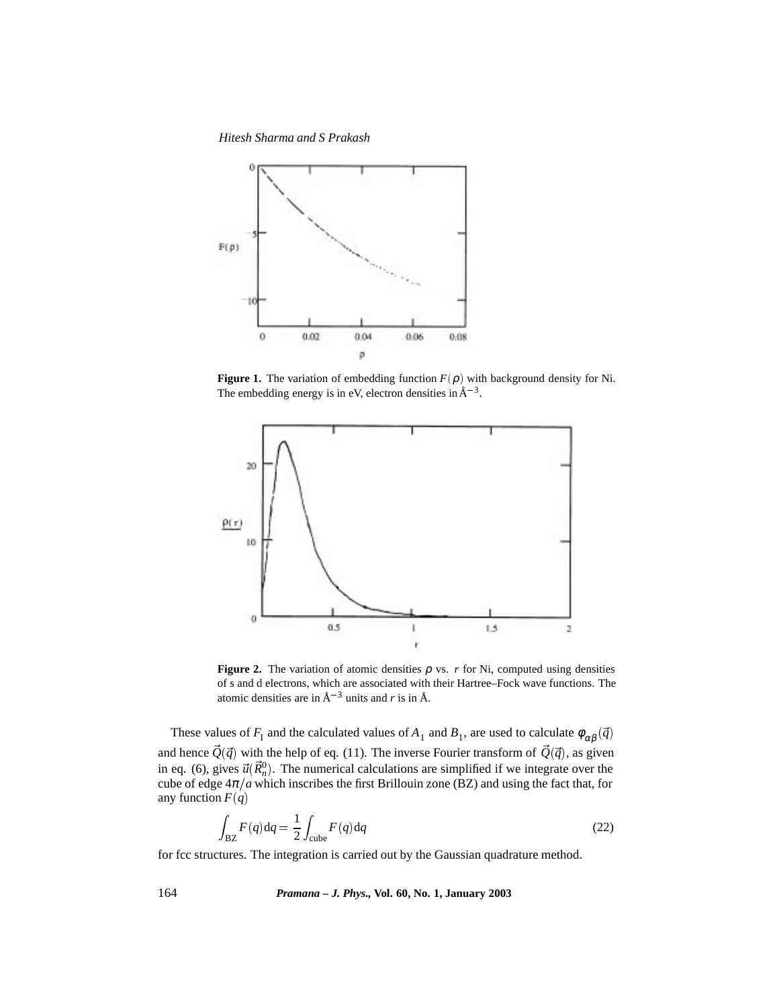*Hitesh Sharma and S Prakash*



**Figure 1.** The variation of embedding function  $F(\rho)$  with background density for Ni. The embedding energy is in eV, electron densities in  $A^{-3}$ .



**Figure 2.** The variation of atomic densities  $\rho$  vs. *r* for Ni, computed using densities of s and d electrons, which are associated with their Hartree–Fock wave functions. The atomic densities are in  $A^{-3}$  units and *r* is in  $A$ .

These values of  $F_1$  and the calculated values of  $A_1$  and  $B_1$ , are used to calculate  $\phi_{\alpha\beta}(\vec{q})$ and hence  $\vec{Q}(\vec{q})$  with the help of eq. (11). The inverse Fourier transform of  $\vec{Q}(\vec{q})$ , as given in eq. (6), gives  $\vec{u}(\vec{R}_n^0)$ . The numerical calculations are simplified if we integrate over the cube of edge  $4\pi/a$  which inscribes the first Brillouin zone (BZ) and using the fact that, for any function  $F(q)$ 

$$
\int_{\text{BZ}} F(q) \text{d}q = \frac{1}{2} \int_{\text{cube}} F(q) \text{d}q \tag{22}
$$

for fcc structures. The integration is carried out by the Gaussian quadrature method.

164 *Pramana – J. Phys.,* **Vol. 60, No. 1, January 2003**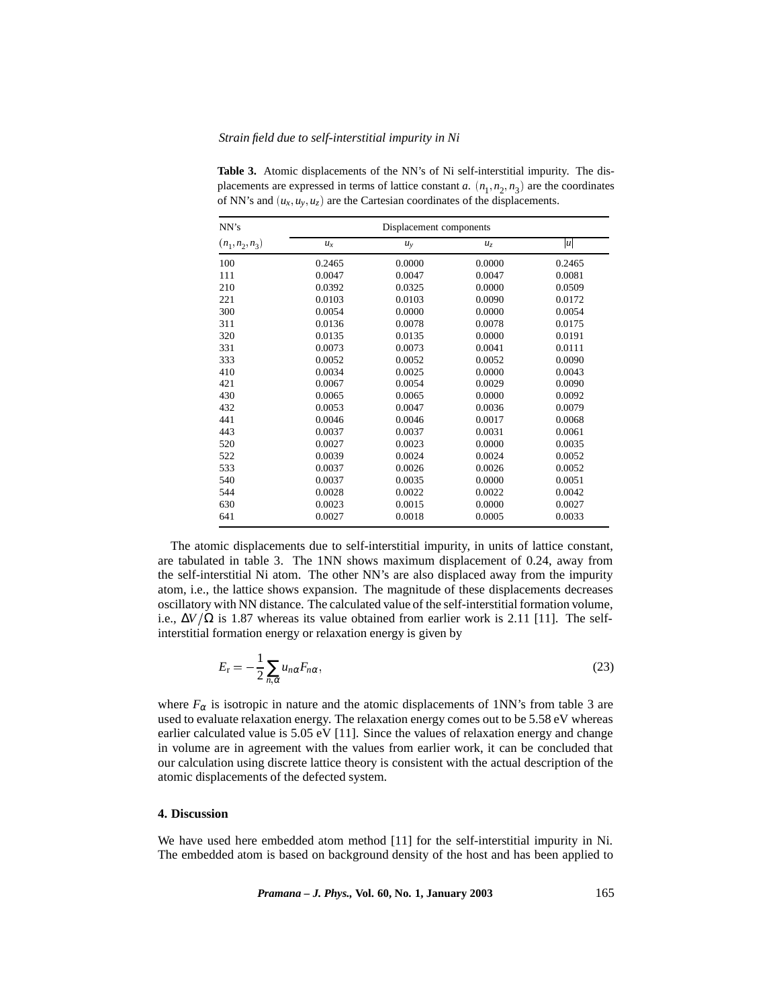#### *Strain field due to self-interstitial impurity in Ni*

| NN's              | Displacement components |        |                |                  |  |
|-------------------|-------------------------|--------|----------------|------------------|--|
| $(n_1, n_2, n_3)$ | $u_x$                   | $u_y$  | u <sub>z</sub> | $\boldsymbol{u}$ |  |
| 100               | 0.2465                  | 0.0000 | 0.0000         | 0.2465           |  |
| 111               | 0.0047                  | 0.0047 | 0.0047         | 0.0081           |  |
| 210               | 0.0392                  | 0.0325 | 0.0000         | 0.0509           |  |
| 221               | 0.0103                  | 0.0103 | 0.0090         | 0.0172           |  |
| 300               | 0.0054                  | 0.0000 | 0.0000         | 0.0054           |  |
| 311               | 0.0136                  | 0.0078 | 0.0078         | 0.0175           |  |
| 320               | 0.0135                  | 0.0135 | 0.0000         | 0.0191           |  |
| 331               | 0.0073                  | 0.0073 | 0.0041         | 0.0111           |  |
| 333               | 0.0052                  | 0.0052 | 0.0052         | 0.0090           |  |
| 410               | 0.0034                  | 0.0025 | 0.0000         | 0.0043           |  |
| 421               | 0.0067                  | 0.0054 | 0.0029         | 0.0090           |  |
| 430               | 0.0065                  | 0.0065 | 0.0000         | 0.0092           |  |
| 432               | 0.0053                  | 0.0047 | 0.0036         | 0.0079           |  |
| 441               | 0.0046                  | 0.0046 | 0.0017         | 0.0068           |  |
| 443               | 0.0037                  | 0.0037 | 0.0031         | 0.0061           |  |
| 520               | 0.0027                  | 0.0023 | 0.0000         | 0.0035           |  |
| 522               | 0.0039                  | 0.0024 | 0.0024         | 0.0052           |  |
| 533               | 0.0037                  | 0.0026 | 0.0026         | 0.0052           |  |
| 540               | 0.0037                  | 0.0035 | 0.0000         | 0.0051           |  |
| 544               | 0.0028                  | 0.0022 | 0.0022         | 0.0042           |  |
| 630               | 0.0023                  | 0.0015 | 0.0000         | 0.0027           |  |
| 641               | 0.0027                  | 0.0018 | 0.0005         | 0.0033           |  |

**Table 3.** Atomic displacements of the NN's of Ni self-interstitial impurity. The displacements are expressed in terms of lattice constant *a*.  $(n_1, n_2, n_3)$  are the coordinates of NN's and  $(u_x, u_y, u_z)$  are the Cartesian coordinates of the displacements.

The atomic displacements due to self-interstitial impurity, in units of lattice constant, are tabulated in table 3. The 1NN shows maximum displacement of 0.24, away from the self-interstitial Ni atom. The other NN's are also displaced away from the impurity atom, i.e., the lattice shows expansion. The magnitude of these displacements decreases oscillatory with NN distance. The calculated value of the self-interstitial formation volume, i.e.,  $\Delta V/\Omega$  is 1.87 whereas its value obtained from earlier work is 2.11 [11]. The selfinterstitial formation energy or relaxation energy is given by

$$
E_{\rm r} = -\frac{1}{2} \sum_{n,\alpha} u_{n\alpha} F_{n\alpha},\tag{23}
$$

where  $F_{\alpha}$  is isotropic in nature and the atomic displacements of 1NN's from table 3 are used to evaluate relaxation energy. The relaxation energy comes out to be 5.58 eV whereas earlier calculated value is 5.05 eV [11]. Since the values of relaxation energy and change in volume are in agreement with the values from earlier work, it can be concluded that our calculation using discrete lattice theory is consistent with the actual description of the atomic displacements of the defected system.

## **4. Discussion**

We have used here embedded atom method [11] for the self-interstitial impurity in Ni. The embedded atom is based on background density of the host and has been applied to

*Pramana – J. Phys.,* **Vol. 60, No. 1, January 2003** 165